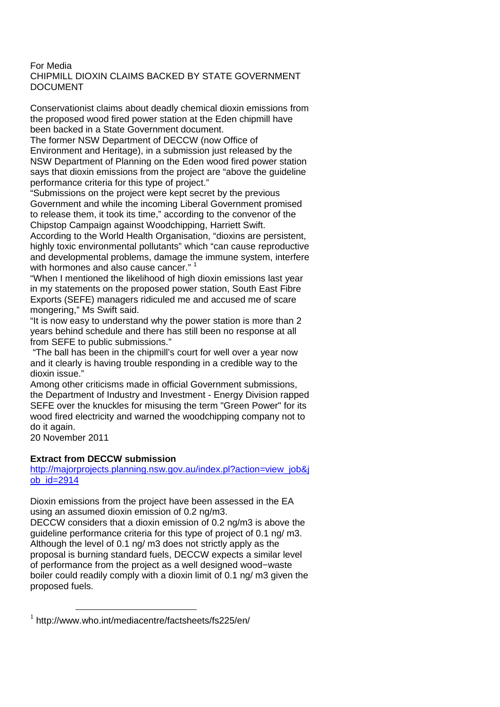## For Media CHIPMILL DIOXIN CLAIMS BACKED BY STATE GOVERNMENT DOCUMENT

Conservationist claims about deadly chemical dioxin emissions from the proposed wood fired power station at the Eden chipmill have been backed in a State Government document.

The former NSW Department of DECCW (now Office of Environment and Heritage), in a submission just released by the NSW Department of Planning on the Eden wood fired power station says that dioxin emissions from the project are "above the guideline performance criteria for this type of project."

"Submissions on the project were kept secret by the previous Government and while the incoming Liberal Government promised to release them, it took its time," according to the convenor of the Chipstop Campaign against Woodchipping, Harriett Swift.

According to the World Health Organisation, "dioxins are persistent, highly toxic environmental pollutants" which "can cause reproductive and developmental problems, damage the immune system, interfere with hormones and also cause cancer."<sup>1</sup>

"When I mentioned the likelihood of high dioxin emissions last year in my statements on the proposed power station, South East Fibre Exports (SEFE) managers ridiculed me and accused me of scare mongering," Ms Swift said.

"It is now easy to understand why the power station is more than 2 years behind schedule and there has still been no response at all from SEFE to public submissions."

 "The ball has been in the chipmill's court for well over a year now and it clearly is having trouble responding in a credible way to the dioxin issue."

Among other criticisms made in official Government submissions, the Department of Industry and Investment - Energy Division rapped SEFE over the knuckles for misusing the term "Green Power" for its wood fired electricity and warned the woodchipping company not to do it again.

20 November 2011

 $\overline{a}$ 

## **Extract from DECCW submission**

http://majorprojects.planning.nsw.gov.au/index.pl?action=view\_job&j ob\_id=2914

Dioxin emissions from the project have been assessed in the EA using an assumed dioxin emission of 0.2 ng/m3.

DECCW considers that a dioxin emission of 0.2 ng/m3 is above the guideline performance criteria for this type of project of 0.1 ng/ m3. Although the level of 0.1 ng/ m3 does not strictly apply as the proposal is burning standard fuels, DECCW expects a similar level of performance from the project as a well designed wood−waste boiler could readily comply with a dioxin limit of 0.1 ng/ m3 given the proposed fuels.

<sup>1</sup> http://www.who.int/mediacentre/factsheets/fs225/en/